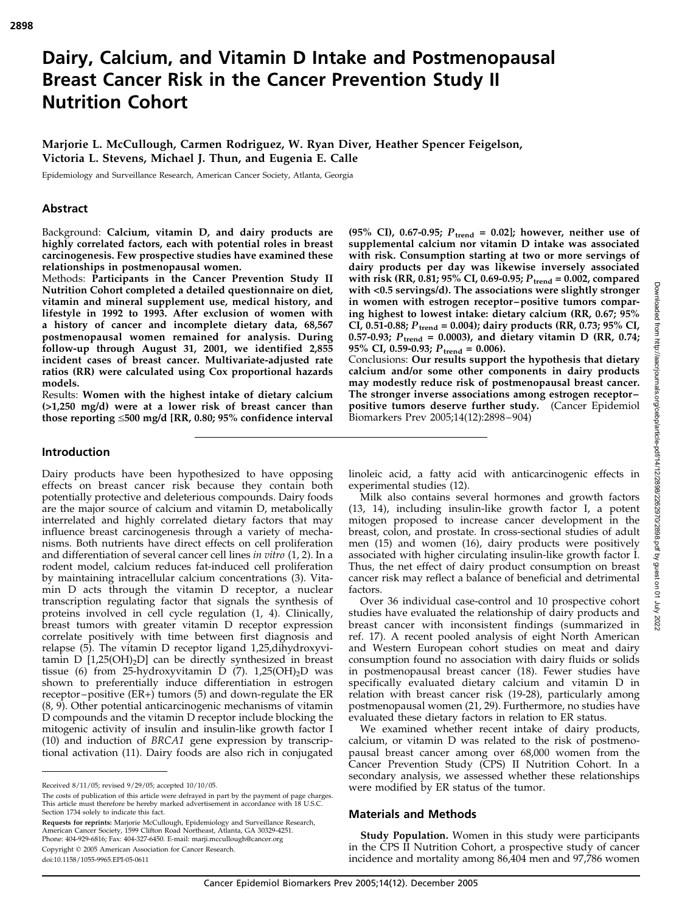# 2898

# Dairy, Calcium, and Vitamin D Intake and Postmenopausal Breast Cancer Risk in the Cancer Prevention Study II Nutrition Cohort

Marjorie L. McCullough, Carmen Rodriguez, W. Ryan Diver, Heather Spencer Feigelson, Victoria L. Stevens, Michael J. Thun, and Eugenia E. Calle

Epidemiology and Surveillance Research, American Cancer Society, Atlanta, Georgia

#### Abstract

Background: Calcium, vitamin D, and dairy products are highly correlated factors, each with potential roles in breast carcinogenesis. Few prospective studies have examined these relationships in postmenopausal women.

Methods: Participants in the Cancer Prevention Study II Nutrition Cohort completed a detailed questionnaire on diet, vitamin and mineral supplement use, medical history, and lifestyle in 1992 to 1993. After exclusion of women with a history of cancer and incomplete dietary data, 68,567 postmenopausal women remained for analysis. During follow-up through August 31, 2001, we identified 2,855 incident cases of breast cancer. Multivariate-adjusted rate ratios (RR) were calculated using Cox proportional hazards models.

Results: Women with the highest intake of dietary calcium (>1,250 mg/d) were at a lower risk of breast cancer than those reporting  $\leq 500$  mg/d [RR, 0.80; 95% confidence interval (95% CI), 0.67-0.95;  $P_{\text{trend}} = 0.02$ ]; however, neither use of supplemental calcium nor vitamin D intake was associated with risk. Consumption starting at two or more servings of dairy products per day was likewise inversely associated with risk (RR, 0.81; 95% CI, 0.69-0.95;  $P_{\text{trend}} = 0.002$ , compared with <0.5 servings/d). The associations were slightly stronger in women with estrogen receptor–positive tumors comparing highest to lowest intake: dietary calcium (RR, 0.67; 95% CI, 0.51-0.88;  $P_{\text{trend}} = 0.004$ ); dairy products (RR, 0.73; 95% CI, 0.57-0.93;  $P_{\text{trend}} = 0.0003$ ), and dietary vitamin D (RR, 0.74; 95% CI, 0.59-0.93;  $P_{\text{trend}} = 0.006$ ).

Conclusions: Our results support the hypothesis that dietary calcium and/or some other components in dairy products may modestly reduce risk of postmenopausal breast cancer. The stronger inverse associations among estrogen receptor– positive tumors deserve further study. (Cancer Epidemiol Biomarkers Prev 2005;14(12):2898–904)

#### Introduction

Dairy products have been hypothesized to have opposing effects on breast cancer risk because they contain both potentially protective and deleterious compounds. Dairy foods are the major source of calcium and vitamin D, metabolically interrelated and highly correlated dietary factors that may influence breast carcinogenesis through a variety of mechanisms. Both nutrients have direct effects on cell proliferation and differentiation of several cancer cell lines in vitro (1, 2). In a rodent model, calcium reduces fat-induced cell proliferation by maintaining intracellular calcium concentrations (3). Vitamin D acts through the vitamin D receptor, a nuclear transcription regulating factor that signals the synthesis of proteins involved in cell cycle regulation (1, 4). Clinically, breast tumors with greater vitamin D receptor expression correlate positively with time between first diagnosis and relapse (5). The vitamin D receptor ligand 1,25,dihydroxyvitamin D  $[1,25(OH)<sub>2</sub>D]$  can be directly synthesized in breast tissue (6) from 25-hydroxyvitamin D (7).  $1,25(OH)<sub>2</sub>D$  was shown to preferentially induce differentiation in estrogen receptor–positive (ER+) tumors (5) and down-regulate the ER (8, 9). Other potential anticarcinogenic mechanisms of vitamin D compounds and the vitamin D receptor include blocking the mitogenic activity of insulin and insulin-like growth factor I (10) and induction of BRCA1 gene expression by transcriptional activation (11). Dairy foods are also rich in conjugated

Requests for reprints: Marjorie McCullough, Epidemiology and Surveillance Research, American Cancer Society, 1599 Clifton Road Northeast, Atlanta, GA 30329-4251. Phone: 404-929-6816; Fax: 404-327-6450. E-mail: marji.mccullough@cancer.org Copyright © 2005 American Association for Cancer Research.

doi:10.1158/1055-9965.EPI-05-0611

linoleic acid, a fatty acid with anticarcinogenic effects in experimental studies (12).

Milk also contains several hormones and growth factors (13, 14), including insulin-like growth factor I, a potent mitogen proposed to increase cancer development in the breast, colon, and prostate. In cross-sectional studies of adult men (15) and women (16), dairy products were positively associated with higher circulating insulin-like growth factor I. Thus, the net effect of dairy product consumption on breast cancer risk may reflect a balance of beneficial and detrimental factors.

Over 36 individual case-control and 10 prospective cohort studies have evaluated the relationship of dairy products and breast cancer with inconsistent findings (summarized in ref. 17). A recent pooled analysis of eight North American and Western European cohort studies on meat and dairy consumption found no association with dairy fluids or solids in postmenopausal breast cancer (18). Fewer studies have specifically evaluated dietary calcium and vitamin D in relation with breast cancer risk (19-28), particularly among postmenopausal women (21, 29). Furthermore, no studies have evaluated these dietary factors in relation to ER status.

We examined whether recent intake of dairy products, calcium, or vitamin D was related to the risk of postmenopausal breast cancer among over 68,000 women from the Cancer Prevention Study (CPS) II Nutrition Cohort. In a secondary analysis, we assessed whether these relationships were modified by ER status of the tumor.

### Materials and Methods

Study Population. Women in this study were participants in the CPS II Nutrition Cohort, a prospective study of cancer incidence and mortality among 86,404 men and 97,786 women

Received 8/11/05; revised 9/29/05; accepted 10/10/05.

The costs of publication of this article were defrayed in part by the payment of page charges. This article must therefore be hereby marked advertisement in accordance with 18 U.S.C. Section 1734 solely to indicate this fact.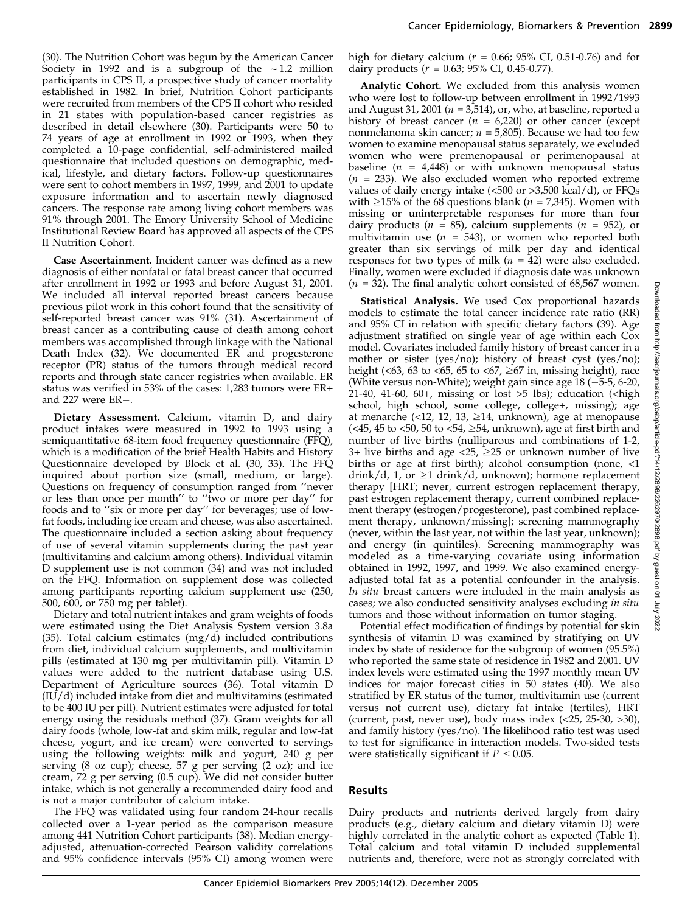(30). The Nutrition Cohort was begun by the American Cancer Society in 1992 and is a subgroup of the  $\sim$  1.2 million participants in CPS II, a prospective study of cancer mortality established in 1982. In brief, Nutrition Cohort participants were recruited from members of the CPS II cohort who resided in 21 states with population-based cancer registries as described in detail elsewhere (30). Participants were 50 to 74 years of age at enrollment in 1992 or 1993, when they completed a 10-page confidential, self-administered mailed questionnaire that included questions on demographic, medical, lifestyle, and dietary factors. Follow-up questionnaires were sent to cohort members in 1997, 1999, and 2001 to update exposure information and to ascertain newly diagnosed cancers. The response rate among living cohort members was 91% through 2001. The Emory University School of Medicine Institutional Review Board has approved all aspects of the CPS II Nutrition Cohort.

Case Ascertainment. Incident cancer was defined as a new diagnosis of either nonfatal or fatal breast cancer that occurred after enrollment in 1992 or 1993 and before August 31, 2001. We included all interval reported breast cancers because previous pilot work in this cohort found that the sensitivity of self-reported breast cancer was 91% (31). Ascertainment of breast cancer as a contributing cause of death among cohort members was accomplished through linkage with the National Death Index (32). We documented ER and progesterone receptor (PR) status of the tumors through medical record reports and through state cancer registries when available. ER status was verified in 53% of the cases: 1,283 tumors were ER+ and  $227$  were  $ER-$ .

Dietary Assessment. Calcium, vitamin D, and dairy product intakes were measured in 1992 to 1993 using a semiquantitative 68-item food frequency questionnaire (FFQ), which is a modification of the brief Health Habits and History Questionnaire developed by Block et al. (30, 33). The FFQ inquired about portion size (small, medium, or large). Questions on frequency of consumption ranged from ''never or less than once per month'' to ''two or more per day'' for foods and to ''six or more per day'' for beverages; use of lowfat foods, including ice cream and cheese, was also ascertained. The questionnaire included a section asking about frequency of use of several vitamin supplements during the past year (multivitamins and calcium among others). Individual vitamin D supplement use is not common (34) and was not included on the FFQ. Information on supplement dose was collected among participants reporting calcium supplement use (250, 500, 600, or 750 mg per tablet).

Dietary and total nutrient intakes and gram weights of foods were estimated using the Diet Analysis System version 3.8a (35). Total calcium estimates (mg/d) included contributions from diet, individual calcium supplements, and multivitamin pills (estimated at 130 mg per multivitamin pill). Vitamin D values were added to the nutrient database using U.S. Department of Agriculture sources (36). Total vitamin D (IU/d) included intake from diet and multivitamins (estimated to be 400 IU per pill). Nutrient estimates were adjusted for total energy using the residuals method (37). Gram weights for all dairy foods (whole, low-fat and skim milk, regular and low-fat cheese, yogurt, and ice cream) were converted to servings using the following weights: milk and yogurt, 240 g per serving (8 oz cup); cheese, 57 g per serving (2 oz); and ice cream, 72 g per serving (0.5 cup). We did not consider butter intake, which is not generally a recommended dairy food and is not a major contributor of calcium intake.

The FFQ was validated using four random 24-hour recalls collected over a 1-year period as the comparison measure among 441 Nutrition Cohort participants (38). Median energyadjusted, attenuation-corrected Pearson validity correlations and 95% confidence intervals (95% CI) among women were high for dietary calcium ( $r = 0.66$ ; 95% CI, 0.51-0.76) and for dairy products  $(r = 0.63; 95\% \text{ CI}, 0.45\text{-}0.77)$ .

Analytic Cohort. We excluded from this analysis women who were lost to follow-up between enrollment in 1992/1993 and August 31, 2001 ( $n = 3.514$ ), or, who, at baseline, reported a history of breast cancer ( $n = 6,220$ ) or other cancer (except nonmelanoma skin cancer;  $n = 5,805$ ). Because we had too few women to examine menopausal status separately, we excluded women who were premenopausal or perimenopausal at baseline  $(n = 4,448)$  or with unknown menopausal status  $(n = 233)$ . We also excluded women who reported extreme values of daily energy intake (<500 or >3,500 kcal/d), or FFQs with  $\geq$ 15% of the 68 questions blank (*n* = 7,345). Women with missing or uninterpretable responses for more than four dairy products ( $n = 85$ ), calcium supplements ( $n = 952$ ), or multivitamin use ( $n = 543$ ), or women who reported both greater than six servings of milk per day and identical responses for two types of milk ( $n = 42$ ) were also excluded. Finally, women were excluded if diagnosis date was unknown  $(n = 32)$ . The final analytic cohort consisted of 68,567 women.

Statistical Analysis. We used Cox proportional hazards models to estimate the total cancer incidence rate ratio (RR) and 95% CI in relation with specific dietary factors (39). Age adjustment stratified on single year of age within each Cox model. Covariates included family history of breast cancer in a mother or sister (yes/no); history of breast cyst (yes/no); height (<63, 63 to <65, 65 to <67,  $\geq$ 67 in, missing height), race (White versus non-White); weight gain since age  $18 (-5-5, 6-20, 6)$ 21-40, 41-60, 60+, missing or lost  $>5$  lbs); education (<high school, high school, some college, college+, missing); age at menarche (<12, 12, 13,  $\geq$ 14, unknown), age at menopause  $(<$ 45, 45 to  $<$ 50, 50 to  $<$ 54,  $\geq$ 54, unknown), age at first birth and number of live births (nulliparous and combinations of 1-2, 3+ live births and age  $\langle 25, \geq 25$  or unknown number of live births or age at first birth); alcohol consumption (none, <1 drink/d, 1, or  $\geq$ 1 drink/d, unknown); hormone replacement therapy [HRT; never, current estrogen replacement therapy, past estrogen replacement therapy, current combined replacement therapy (estrogen/progesterone), past combined replacement therapy, unknown/missing]; screening mammography (never, within the last year, not within the last year, unknown); and energy (in quintiles). Screening mammography was modeled as a time-varying covariate using information obtained in 1992, 1997, and 1999. We also examined energyadjusted total fat as a potential confounder in the analysis. In situ breast cancers were included in the main analysis as cases; we also conducted sensitivity analyses excluding in situ tumors and those without information on tumor staging.

Potential effect modification of findings by potential for skin synthesis of vitamin D was examined by stratifying on UV index by state of residence for the subgroup of women (95.5%) who reported the same state of residence in 1982 and 2001. UV index levels were estimated using the 1997 monthly mean UV indices for major forecast cities in 50 states (40). We also stratified by ER status of the tumor, multivitamin use (current versus not current use), dietary fat intake (tertiles), HRT (current, past, never use), body mass index (<25, 25-30, >30), and family history (yes/no). The likelihood ratio test was used to test for significance in interaction models. Two-sided tests were statistically significant if  $P \le 0.05$ .

## Results

Dairy products and nutrients derived largely from dairy products (e.g., dietary calcium and dietary vitamin D) were highly correlated in the analytic cohort as expected (Table 1). Total calcium and total vitamin D included supplemental nutrients and, therefore, were not as strongly correlated with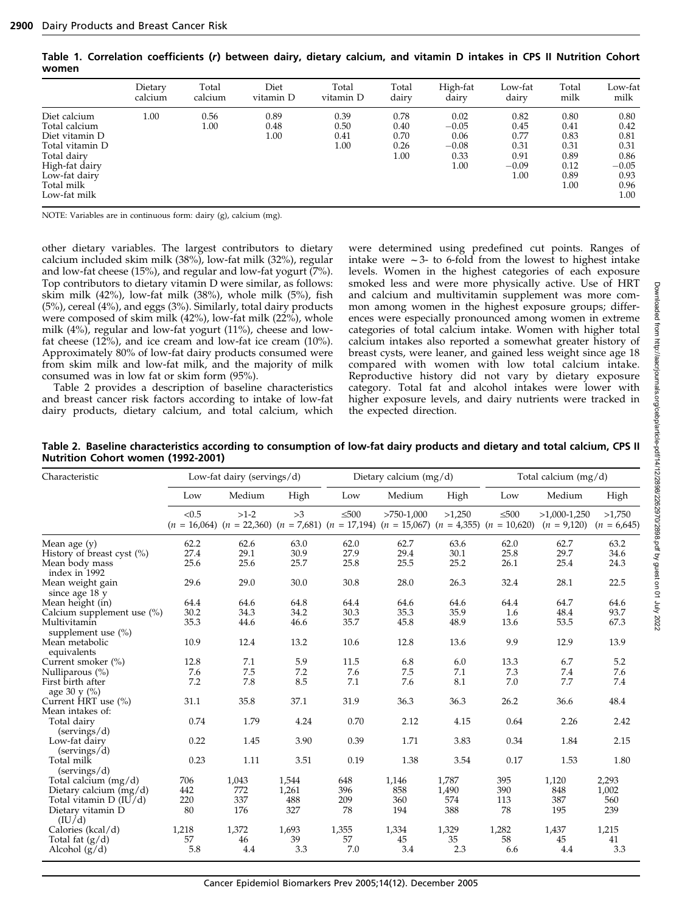Table 1. Correlation coefficients (r) between dairy, dietary calcium, and vitamin D intakes in CPS II Nutrition Cohort women

|                                                                                                                                                    | Dietary | Total        | Diet                 | Total                        | Total                                | High-fat                                           | Low-fat                                                 | Total                                                        | Low-fat                                                                 |
|----------------------------------------------------------------------------------------------------------------------------------------------------|---------|--------------|----------------------|------------------------------|--------------------------------------|----------------------------------------------------|---------------------------------------------------------|--------------------------------------------------------------|-------------------------------------------------------------------------|
|                                                                                                                                                    | calcium | calcium      | vitamin D            | vitamin D                    | dairy                                | dairy                                              | dairy                                                   | milk                                                         | milk                                                                    |
| Diet calcium<br>Total calcium<br>Diet vitamin D<br>Total vitamin D<br>Total dairy<br>High-fat dairy<br>Low-fat dairy<br>Total milk<br>Low-fat milk | 1.00    | 0.56<br>1.00 | 0.89<br>0.48<br>1.00 | 0.39<br>0.50<br>0.41<br>1.00 | 0.78<br>0.40<br>0.70<br>0.26<br>1.00 | 0.02<br>$-0.05$<br>0.06<br>$-0.08$<br>0.33<br>1.00 | 0.82<br>0.45<br>0.77<br>0.31<br>0.91<br>$-0.09$<br>1.00 | 0.80<br>0.41<br>0.83<br>0.31<br>0.89<br>0.12<br>0.89<br>1.00 | 0.80<br>0.42<br>0.81<br>0.31<br>0.86<br>$-0.05$<br>0.93<br>0.96<br>1.00 |

NOTE: Variables are in continuous form: dairy (g), calcium (mg).

other dietary variables. The largest contributors to dietary calcium included skim milk (38%), low-fat milk (32%), regular and low-fat cheese (15%), and regular and low-fat yogurt (7%). Top contributors to dietary vitamin D were similar, as follows: skim milk (42%), low-fat milk (38%), whole milk (5%), fish (5%), cereal (4%), and eggs (3%). Similarly, total dairy products were composed of skim milk (42%), low-fat milk (22%), whole milk (4%), regular and low-fat yogurt (11%), cheese and lowfat cheese (12%), and ice cream and low-fat ice cream (10%). Approximately 80% of low-fat dairy products consumed were from skim milk and low-fat milk, and the majority of milk consumed was in low fat or skim form (95%).

Table 2 provides a description of baseline characteristics and breast cancer risk factors according to intake of low-fat dairy products, dietary calcium, and total calcium, which were determined using predefined cut points. Ranges of intake were  $\sim$  3- to 6-fold from the lowest to highest intake levels. Women in the highest categories of each exposure smoked less and were more physically active. Use of HRT and calcium and multivitamin supplement was more common among women in the highest exposure groups; differences were especially pronounced among women in extreme categories of total calcium intake. Women with higher total calcium intakes also reported a somewhat greater history of breast cysts, were leaner, and gained less weight since age 18 compared with women with low total calcium intake. Reproductive history did not vary by dietary exposure category. Total fat and alcohol intakes were lower with higher exposure levels, and dairy nutrients were tracked in the expected direction.

| Characteristic                              |       | Low-fat dairy (servings/d) |       | Dietary calcium $(mg/d)$ |              |        | Total calcium $(mg/d)$                                                                                               |                                 |                         |  |
|---------------------------------------------|-------|----------------------------|-------|--------------------------|--------------|--------|----------------------------------------------------------------------------------------------------------------------|---------------------------------|-------------------------|--|
|                                             | Low   | Medium                     | High  | Low                      | Medium       | High   | Low                                                                                                                  | Medium                          | High                    |  |
|                                             | < 0.5 | $>1-2$                     | >3    | $\leq 500$               | $>750-1,000$ | >1,250 | $\leq 500$<br>$(n = 16,064)$ $(n = 22,360)$ $(n = 7,681)$ $(n = 17,194)$ $(n = 15,067)$ $(n = 4,355)$ $(n = 10,620)$ | $>1,000-1,250$<br>$(n = 9,120)$ | >1,750<br>$(n = 6,645)$ |  |
| Mean age $(y)$                              | 62.2  | 62.6                       | 63.0  | 62.0                     | 62.7         | 63.6   | 62.0                                                                                                                 | 62.7                            | 63.2                    |  |
| History of breast cyst $(\%)$               | 27.4  | 29.1                       | 30.9  | 27.9                     | 29.4         | 30.1   | 25.8                                                                                                                 | 29.7                            | 34.6                    |  |
| Mean body mass<br>index in 1992             | 25.6  | 25.6                       | 25.7  | 25.8                     | 25.5         | 25.2   | 26.1                                                                                                                 | 25.4                            | 24.3                    |  |
| Mean weight gain<br>since age $18y$         | 29.6  | 29.0                       | 30.0  | 30.8                     | 28.0         | 26.3   | 32.4                                                                                                                 | 28.1                            | 22.5                    |  |
| Mean height (in)                            | 64.4  | 64.6                       | 64.8  | 64.4                     | 64.6         | 64.6   | 64.4                                                                                                                 | 64.7                            | 64.6                    |  |
| Calcium supplement use (%)                  | 30.2  | 34.3                       | 34.2  | 30.3                     | 35.3         | 35.9   | 1.6                                                                                                                  | 48.4                            | 93.7                    |  |
| Multivitamin<br>supplement use (%)          | 35.3  | 44.6                       | 46.6  | 35.7                     | 45.8         | 48.9   | 13.6                                                                                                                 | 53.5                            | 67.3                    |  |
| Mean metabolic<br>equivalents               | 10.9  | 12.4                       | 13.2  | 10.6                     | 12.8         | 13.6   | 9.9                                                                                                                  | 12.9                            | 13.9                    |  |
| Current smoker (%)                          | 12.8  | 7.1                        | 5.9   | 11.5                     | 6.8          | 6.0    | 13.3                                                                                                                 | 6.7                             | 5.2                     |  |
| Nulliparous (%)                             | 7.6   | 7.5                        | 7.2   | 7.6                      | 7.5          | 7.1    | 7.3                                                                                                                  | 7.4                             | 7.6                     |  |
| First birth after<br>age 30 y $\frac{6}{6}$ | 7.2   | 7.8                        | 8.5   | 7.1                      | 7.6          | 8.1    | 7.0                                                                                                                  | 7.7                             | 7.4                     |  |
| Current HRT use (%)<br>Mean intakes of:     | 31.1  | 35.8                       | 37.1  | 31.9                     | 36.3         | 36.3   | 26.2                                                                                                                 | 36.6                            | 48.4                    |  |
| Total dairy<br>(servings/d)                 | 0.74  | 1.79                       | 4.24  | 0.70                     | 2.12         | 4.15   | 0.64                                                                                                                 | 2.26                            | 2.42                    |  |
| Low-fat dairy<br>(servings/d)               | 0.22  | 1.45                       | 3.90  | 0.39                     | 1.71         | 3.83   | 0.34                                                                                                                 | 1.84                            | 2.15                    |  |
| Total milk<br>(servings/d)                  | 0.23  | 1.11                       | 3.51  | 0.19                     | 1.38         | 3.54   | 0.17                                                                                                                 | 1.53                            | 1.80                    |  |
| Total calcium $(mg/d)$                      | 706   | 1,043                      | 1,544 | 648                      | 1,146        | 1,787  | 395                                                                                                                  | 1,120                           | 2,293                   |  |
| Dietary calcium $(mg/d)$                    | 442   | 772                        | 1,261 | 396                      | 858          | 1,490  | 390                                                                                                                  | 848                             | 1,002                   |  |
| Total vitamin $D$ (IU/d)                    | 220   | 337                        | 488   | 209                      | 360          | 574    | 113                                                                                                                  | 387                             | 560                     |  |
| Dietary vitamin D<br>(IU/d)                 | 80    | 176                        | 327   | 78                       | 194          | 388    | 78                                                                                                                   | 195                             | 239                     |  |
| Calories (kcal/d)                           | 1,218 | 1,372                      | 1,693 | 1,355                    | 1,334        | 1,329  | 1,282                                                                                                                | 1,437                           | 1,215                   |  |
| Total fat $(g/d)$                           | 57    | 46                         | 39    | 57                       | 45           | 35     | 58                                                                                                                   | 45                              | 41                      |  |
| Alcohol $(g/d)$                             | 5.8   | 4.4                        | 3.3   | 7.0                      | 3.4          | 2.3    | 6.6                                                                                                                  | 4.4                             | 3.3                     |  |

Table 2. Baseline characteristics according to consumption of low-fat dairy products and dietary and total calcium, CPS II Nutrition Cohort women (1992-2001)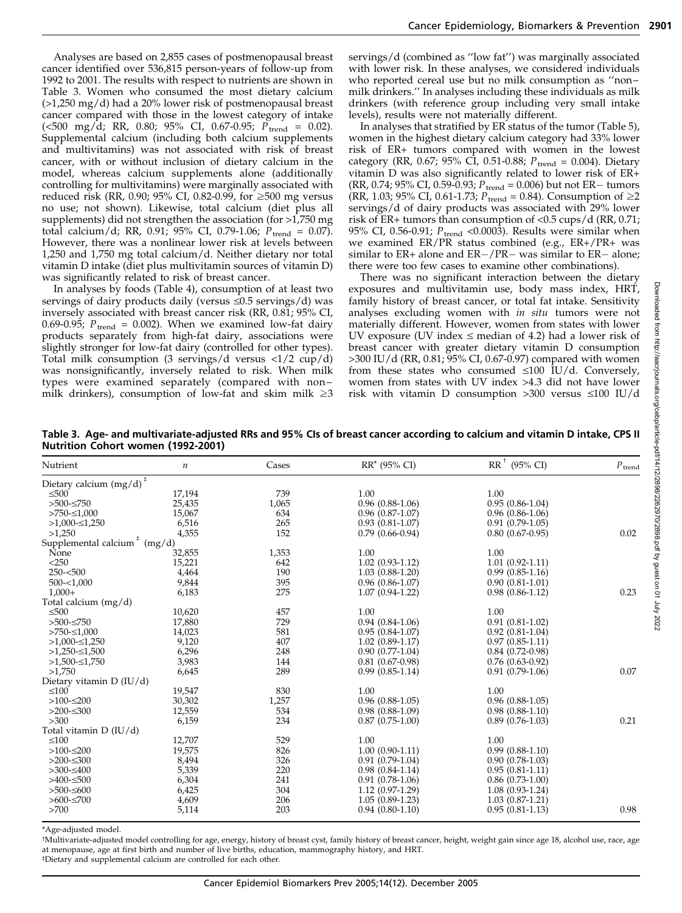Analyses are based on 2,855 cases of postmenopausal breast cancer identified over 536,815 person-years of follow-up from 1992 to 2001. The results with respect to nutrients are shown in Table 3. Women who consumed the most dietary calcium (>1,250 mg/d) had a 20% lower risk of postmenopausal breast cancer compared with those in the lowest category of intake  $\langle$  <500 mg/d; RR, 0.80; 95% CI, 0.67-0.95;  $P_{\text{trend}} = 0.02$ ). Supplemental calcium (including both calcium supplements and multivitamins) was not associated with risk of breast cancer, with or without inclusion of dietary calcium in the model, whereas calcium supplements alone (additionally controlling for multivitamins) were marginally associated with reduced risk (RR, 0.90; 95% CI, 0.82-0.99, for  $\geq 500$  mg versus no use; not shown). Likewise, total calcium (diet plus all supplements) did not strengthen the association (for  $>1,750$  mg total calcium/d; RR, 0.91; 95% CI, 0.79-1.06;  $P_{\text{trend}} = 0.07$ ). However, there was a nonlinear lower risk at levels between 1,250 and 1,750 mg total calcium/d. Neither dietary nor total vitamin D intake (diet plus multivitamin sources of vitamin D) was significantly related to risk of breast cancer.

In analyses by foods (Table 4), consumption of at least two servings of dairy products daily (versus  $\leq 0.5$  servings/d) was inversely associated with breast cancer risk (RR, 0.81; 95% CI, 0.69-0.95;  $P_{\text{trend}} = 0.002$ ). When we examined low-fat dairy products separately from high-fat dairy, associations were slightly stronger for low-fat dairy (controlled for other types). Total milk consumption  $(3 \text{ servings/d} \text{ versus } <1/2 \text{ cup/d})$ was nonsignificantly, inversely related to risk. When milk types were examined separately (compared with non– milk drinkers), consumption of low-fat and skim milk  $\geq 3$  servings/d (combined as ''low fat'') was marginally associated with lower risk. In these analyses, we considered individuals who reported cereal use but no milk consumption as ''non– milk drinkers.'' In analyses including these individuals as milk drinkers (with reference group including very small intake levels), results were not materially different.

In analyses that stratified by ER status of the tumor (Table 5), women in the highest dietary calcium category had 33% lower risk of ER+ tumors compared with women in the lowest category (RR, 0.67; 95% CI, 0.51-0.88;  $P_{\text{trend}} = 0.004$ ). Dietary vitamin D was also significantly related to lower risk of ER+ (RR, 0.74; 95% CI, 0.59-0.93;  $P_{\text{trend}} = 0.006$ ) but not ER-tumors (RR, 1.03; 95% CI, 0.61-1.73;  $P_{\text{trend}} = 0.84$ ). Consumption of  $\geq 2$ servings/d of dairy products was associated with 29% lower risk of ER+ tumors than consumption of <0.5 cups/d (RR, 0.71; 95% CI, 0.56-0.91;  $P_{\text{trend}}$  <0.0003). Results were similar when we examined ER/PR status combined (e.g., ER+/PR+ was similar to  $ER+$  alone and  $ER-/PR-$  was similar to  $ER-$  alone; there were too few cases to examine other combinations).

There was no significant interaction between the dietary exposures and multivitamin use, body mass index, HRT, family history of breast cancer, or total fat intake. Sensitivity analyses excluding women with in situ tumors were not materially different. However, women from states with lower UV exposure (UV index  $\leq$  median of 4.2) had a lower risk of breast cancer with greater dietary vitamin D consumption >300 IU/d (RR, 0.81; 95% CI, 0.67-0.97) compared with women from these states who consumed  $\leq 100$  IU/d. Conversely, women from states with UV index >4.3 did not have lower risk with vitamin D consumption >300 versus  $\leq 100$  IU/d

Table 3. Age- and multivariate-adjusted RRs and 95% CIs of breast cancer according to calcium and vitamin D intake, CPS II Nutrition Cohort women (1992-2001)

| Nutrient                                   | п      | Cases | $RR^*$ (95% CI)        | $RR^{\dagger}$ (95% CI) | $P_{\text{trend}}$ |
|--------------------------------------------|--------|-------|------------------------|-------------------------|--------------------|
| Dietary calcium $(mg/d)^{\ddagger}$        |        |       |                        |                         |                    |
| $\leq 500$                                 | 17,194 | 739   | 1.00                   | 1.00                    |                    |
| $>500-5750$                                | 25,435 | 1,065 | $0.96(0.88-1.06)$      | $0.95(0.86-1.04)$       |                    |
| $>750 \le 1,000$                           | 15,067 | 634   | $0.96(0.87-1.07)$      | $0.96(0.86-1.06)$       |                    |
| $>1,000-S1,250$                            | 6,516  | 265   | $0.93$ $(0.81 - 1.07)$ | $0.91(0.79-1.05)$       |                    |
| >1,250                                     | 4,355  | 152   | $0.79(0.66-0.94)$      | $0.80(0.67-0.95)$       | 0.02               |
| Supplemental calcium <sup>+</sup> $(mg/d)$ |        |       |                        |                         |                    |
| None                                       | 32,855 | 1,353 | 1.00                   | 1.00                    |                    |
| $<$ 250                                    | 15,221 | 642   | $1.02(0.93-1.12)$      | $1.01(0.92 - 1.11)$     |                    |
| $250 - 500$                                | 4,464  | 190   | $1.03(0.88-1.20)$      | $0.99(0.85-1.16)$       |                    |
| $500 - 1,000$                              | 9,844  | 395   | $0.96(0.86-1.07)$      | $0.90(0.81-1.01)$       |                    |
| $1,000+$                                   | 6,183  | 275   | $1.07(0.94-1.22)$      | $0.98(0.86-1.12)$       | 0.23               |
| Total calcium $(mg/d)$                     |        |       |                        |                         |                    |
| $\leq 500$                                 | 10,620 | 457   | 1.00                   | 1.00                    |                    |
| $>500-5750$                                | 17,880 | 729   | $0.94(0.84-1.06)$      | $0.91(0.81-1.02)$       |                    |
| $>750 \le 1,000$                           | 14,023 | 581   | $0.95(0.84-1.07)$      | $0.92(0.81-1.04)$       |                    |
| $>1,000-S1,250$                            | 9,120  | 407   | $1.02(0.89-1.17)$      | $0.97(0.85-1.11)$       |                    |
| $>1,250 \le 1,500$                         | 6,296  | 248   | $0.90(0.77-1.04)$      | $0.84(0.72-0.98)$       |                    |
| $>1,500 \le 1,750$                         | 3,983  | 144   | $0.81(0.67-0.98)$      | $0.76$ $(0.63-0.92)$    |                    |
| >1,750                                     | 6,645  | 289   | $0.99(0.85-1.14)$      | $0.91(0.79-1.06)$       | 0.07               |
| Dietary vitamin $D$ (IU/d)                 |        |       |                        |                         |                    |
| $\leq 100$                                 | 19,547 | 830   | 1.00                   | 1.00                    |                    |
| $>100-5200$                                | 30,302 | 1,257 | $0.96(0.88-1.05)$      | $0.96(0.88-1.05)$       |                    |
| $>200-500$                                 | 12,559 | 534   | $0.98(0.88-1.09)$      | $0.98(0.88-1.10)$       |                    |
| >300                                       | 6,159  | 234   | $0.87(0.75-1.00)$      | $0.89(0.76-1.03)$       | 0.21               |
| Total vitamin $D$ (IU/d)                   |        |       |                        |                         |                    |
| $\leq 100$                                 | 12,707 | 529   | 1.00                   | 1.00                    |                    |
| $>100-5200$                                | 19,575 | 826   | $1.00(0.90-1.11)$      | $0.99(0.88-1.10)$       |                    |
| $>200-5300$                                | 8,494  | 326   | $0.91(0.79-1.04)$      | $0.90(0.78-1.03)$       |                    |
| $>300-5400$                                | 5,339  | 220   | $0.98(0.84-1.14)$      | $0.95(0.81-1.11)$       |                    |
| $>400-500$                                 | 6,304  | 241   | $0.91(0.78-1.06)$      | $0.86(0.73-1.00)$       |                    |
| $>500-500$                                 | 6,425  | 304   | $1.12(0.97-1.29)$      | $1.08(0.93-1.24)$       |                    |
| $>600-5700$                                | 4,609  | 206   | $1.05(0.89-1.23)$      | $1.03(0.87-1.21)$       |                    |
| >700                                       | 5,114  | 203   | $0.94(0.80-1.10)$      | $0.95(0.81 - 1.13)$     | 0.98               |
|                                            |        |       |                        |                         |                    |

\*Age-adjusted model.

<sup>†</sup>Multivariate-adjusted model controlling for age, energy, history of breast cyst, family history of breast cancer, height, weight gain since age 18, alcohol use, race, age at menopause, age at first birth and number of live births, education, mammography history, and HRT. #Dietary and supplemental calcium are controlled for each other.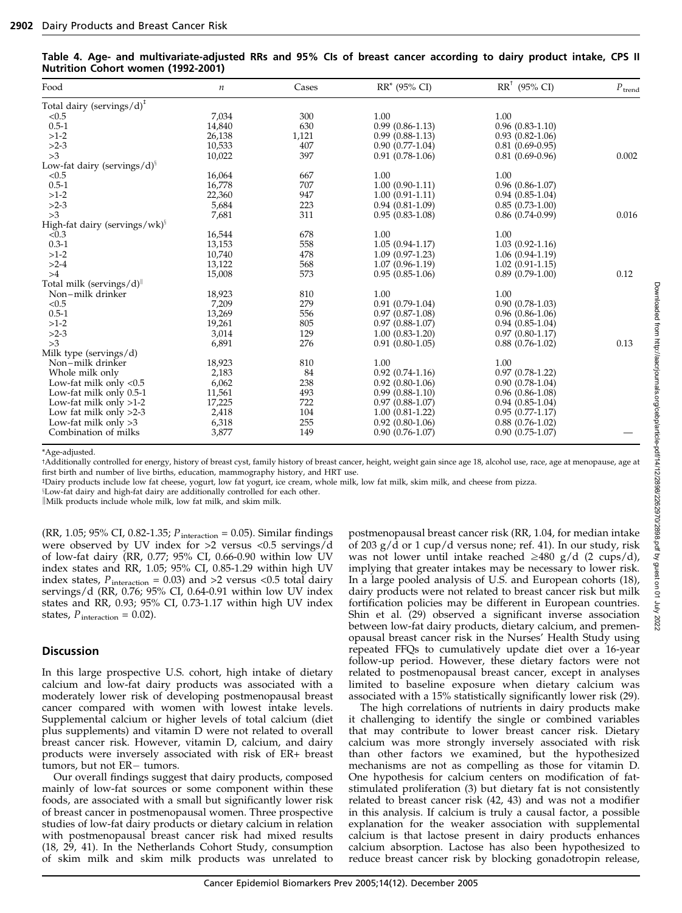| Table 4. Age- and multivariate-adjusted RRs and 95% CIs of breast cancer according to dairy product intake, CPS II |  |  |  |  |  |
|--------------------------------------------------------------------------------------------------------------------|--|--|--|--|--|
| Nutrition Cohort women (1992-2001)                                                                                 |  |  |  |  |  |

| Food                                    | $\it n$ | Cases | RR <sup>*</sup> (95% CI) | $RR^{\dagger}$ (95% CI) | $P_{\text{trend}}$ |  |
|-----------------------------------------|---------|-------|--------------------------|-------------------------|--------------------|--|
| Total dairy (servings/d) <sup>‡</sup>   |         |       |                          |                         |                    |  |
| < 0.5                                   | 7,034   | 300   | 1.00                     | 1.00                    |                    |  |
| $0.5 - 1$                               | 14,840  | 630   | $0.99(0.86-1.13)$        | $0.96(0.83-1.10)$       |                    |  |
| $>1-2$                                  | 26,138  | 1,121 | $0.99(0.88-1.13)$        | $0.93(0.82-1.06)$       |                    |  |
| $>2-3$                                  | 10,533  | 407   | $0.90(0.77-1.04)$        | $0.81(0.69-0.95)$       |                    |  |
| >3                                      | 10,022  | 397   | $0.91(0.78-1.06)$        | $0.81(0.69-0.96)$       | 0.002              |  |
| Low-fat dairy (servings/d) <sup>§</sup> |         |       |                          |                         |                    |  |
| < 0.5                                   | 16,064  | 667   | 1.00                     | 1.00                    |                    |  |
| $0.5 - 1$                               | 16,778  | 707   | $1.00(0.90-1.11)$        | $0.96(0.86-1.07)$       |                    |  |
| $>1-2$                                  | 22,360  | 947   | $1.00(0.91-1.11)$        | $0.94(0.85-1.04)$       |                    |  |
| $>2-3$                                  | 5,684   | 223   | $0.94(0.81-1.09)$        | $0.85(0.73-1.00)$       |                    |  |
| >3                                      | 7,681   | 311   | $0.95(0.83-1.08)$        | $0.86(0.74-0.99)$       | 0.016              |  |
| High-fat dairy (servings/wk) $\S$       |         |       |                          |                         |                    |  |
| < 0.3                                   | 16,544  | 678   | 1.00                     | 1.00                    |                    |  |
| $0.3 - 1$                               | 13,153  | 558   | $1.05(0.94 - 1.17)$      | $1.03(0.92 - 1.16)$     |                    |  |
| $>1-2$                                  | 10,740  | 478   | $1.09(0.97-1.23)$        | $1.06(0.94-1.19)$       |                    |  |
| $>2-4$                                  | 13,122  | 568   | $1.07(0.96-1.19)$        | $1.02(0.91-1.15)$       |                    |  |
| >4                                      | 15,008  | 573   | $0.95(0.85-1.06)$        | $0.89(0.79-1.00)$       | 0.12               |  |
| Total milk (servings/d) <sup>  </sup>   |         |       |                          |                         |                    |  |
| Non-milk drinker                        | 18,923  | 810   | 1.00                     | 1.00                    |                    |  |
| < 0.5                                   | 7,209   | 279   | $0.91(0.79-1.04)$        | $0.90(0.78-1.03)$       |                    |  |
| $0.5 - 1$                               | 13,269  | 556   | $0.97(0.87-1.08)$        | $0.96(0.86-1.06)$       |                    |  |
| $>1-2$                                  | 19,261  | 805   | $0.97(0.88-1.07)$        | $0.94(0.85-1.04)$       |                    |  |
| $>2-3$                                  | 3,014   | 129   | $1.00(0.83-1.20)$        | $0.97(0.80-1.17)$       |                    |  |
| >3                                      | 6,891   | 276   | $0.91(0.80-1.05)$        | $0.88(0.76-1.02)$       | 0.13               |  |
| Milk type (servings/d)                  |         |       |                          |                         |                    |  |
| Non-milk drinker                        | 18,923  | 810   | 1.00                     | 1.00                    |                    |  |
| Whole milk only                         | 2,183   | 84    | $0.92(0.74-1.16)$        | $0.97(0.78-1.22)$       |                    |  |
| Low-fat milk only $< 0.5$               | 6,062   | 238   | $0.92(0.80-1.06)$        | $0.90(0.78-1.04)$       |                    |  |
| Low-fat milk only 0.5-1                 | 11,561  | 493   | $0.99(0.88-1.10)$        | $0.96(0.86-1.08)$       |                    |  |
| Low-fat milk only $>1-2$                | 17,225  | 722   | $0.97(0.88-1.07)$        | $0.94(0.85-1.04)$       |                    |  |
| Low fat milk only $>2-3$                | 2,418   | 104   | $1.00(0.81-1.22)$        | $0.95(0.77-1.17)$       |                    |  |
| Low-fat milk only $>3$                  | 6,318   | 255   | $0.92(0.80-1.06)$        | $0.88(0.76-1.02)$       |                    |  |
| Combination of milks                    | 3,877   | 149   | $0.90(0.76-1.07)$        | $0.90(0.75-1.07)$       |                    |  |

\*Age-adjusted.

\*Additionally controlled for energy, history of breast cyst, family history of breast cancer, height, weight gain since age 18, alcohol use, race, age at menopause, age at first birth and number of live births, education, mammography history, and HRT use.

#Dairy products include low fat cheese, yogurt, low fat yogurt, ice cream, whole milk, low fat milk, skim milk, and cheese from pizza.

*SLow-fat dairy and high-fat dairy are additionally controlled for each other.* 

*Milk products include whole milk, low fat milk, and skim milk.* 

(RR, 1.05; 95% CI, 0.82-1.35;  $P_{\text{interaction}} = 0.05$ ). Similar findings were observed by UV index for >2 versus <0.5 servings/d of low-fat dairy (RR, 0.77; 95% CI, 0.66-0.90 within low UV index states and RR, 1.05; 95% CI, 0.85-1.29 within high UV index states,  $P_{\text{interaction}} = 0.03$ ) and >2 versus <0.5 total dairy servings/d (RR, 0.76; 95% CI, 0.64-0.91 within low UV index states and RR, 0.93; 95% CI, 0.73-1.17 within high UV index states,  $P_{\text{interaction}} = 0.02$ ).

### **Discussion**

In this large prospective U.S. cohort, high intake of dietary calcium and low-fat dairy products was associated with a moderately lower risk of developing postmenopausal breast cancer compared with women with lowest intake levels. Supplemental calcium or higher levels of total calcium (diet plus supplements) and vitamin D were not related to overall breast cancer risk. However, vitamin D, calcium, and dairy products were inversely associated with risk of ER+ breast tumors, but not ER- tumors.

Our overall findings suggest that dairy products, composed mainly of low-fat sources or some component within these foods, are associated with a small but significantly lower risk of breast cancer in postmenopausal women. Three prospective studies of low-fat dairy products or dietary calcium in relation with postmenopausal breast cancer risk had mixed results (18, 29, 41). In the Netherlands Cohort Study, consumption of skim milk and skim milk products was unrelated to postmenopausal breast cancer risk (RR, 1.04, for median intake of 203  $g/d$  or 1 cup/d versus none; ref. 41). In our study, risk was not lower until intake reached  $\geq 480$  g/d (2 cups/d), implying that greater intakes may be necessary to lower risk. In a large pooled analysis of U.S. and European cohorts (18), dairy products were not related to breast cancer risk but milk fortification policies may be different in European countries. Shin et al. (29) observed a significant inverse association between low-fat dairy products, dietary calcium, and premenopausal breast cancer risk in the Nurses' Health Study using repeated FFQs to cumulatively update diet over a 16-year follow-up period. However, these dietary factors were not related to postmenopausal breast cancer, except in analyses limited to baseline exposure when dietary calcium was associated with a 15% statistically significantly lower risk (29).

The high correlations of nutrients in dairy products make it challenging to identify the single or combined variables that may contribute to lower breast cancer risk. Dietary calcium was more strongly inversely associated with risk than other factors we examined, but the hypothesized mechanisms are not as compelling as those for vitamin D. One hypothesis for calcium centers on modification of fatstimulated proliferation (3) but dietary fat is not consistently related to breast cancer risk (42, 43) and was not a modifier in this analysis. If calcium is truly a causal factor, a possible explanation for the weaker association with supplemental calcium is that lactose present in dairy products enhances calcium absorption. Lactose has also been hypothesized to reduce breast cancer risk by blocking gonadotropin release,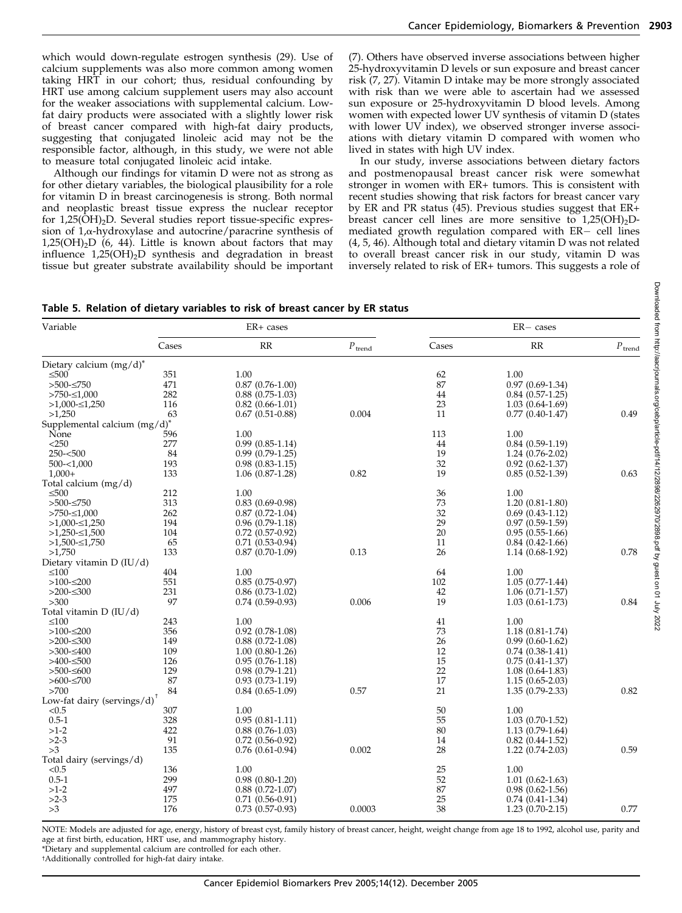which would down-regulate estrogen synthesis (29). Use of calcium supplements was also more common among women taking HRT in our cohort; thus, residual confounding by HRT use among calcium supplement users may also account for the weaker associations with supplemental calcium. Lowfat dairy products were associated with a slightly lower risk of breast cancer compared with high-fat dairy products, suggesting that conjugated linoleic acid may not be the responsible factor, although, in this study, we were not able to measure total conjugated linoleic acid intake.

Although our findings for vitamin D were not as strong as for other dietary variables, the biological plausibility for a role for vitamin D in breast carcinogenesis is strong. Both normal and neoplastic breast tissue express the nuclear receptor for  $1,25(OH)_2D$ . Several studies report tissue-specific expression of  $1,\alpha$ -hydroxylase and autocrine/paracrine synthesis of  $1,25(OH)<sub>2</sub>D$  (6, 44). Little is known about factors that may influence  $1,25(OH)<sub>2</sub>D$  synthesis and degradation in breast tissue but greater substrate availability should be important (7). Others have observed inverse associations between higher 25-hydroxyvitamin D levels or sun exposure and breast cancer risk (7, 27). Vitamin D intake may be more strongly associated with risk than we were able to ascertain had we assessed sun exposure or 25-hydroxyvitamin D blood levels. Among women with expected lower UV synthesis of vitamin D (states with lower UV index), we observed stronger inverse associations with dietary vitamin D compared with women who lived in states with high UV index.

In our study, inverse associations between dietary factors and postmenopausal breast cancer risk were somewhat stronger in women with ER+ tumors. This is consistent with recent studies showing that risk factors for breast cancer vary by ER and PR status (45). Previous studies suggest that ER+ breast cancer cell lines are more sensitive to  $1,25(OH)<sub>2</sub>D$ mediated growth regulation compared with ER- cell lines (4, 5, 46). Although total and dietary vitamin D was not related to overall breast cancer risk in our study, vitamin D was inversely related to risk of ER+ tumors. This suggests a role of

|  |  | Table 5. Relation of dietary variables to risk of breast cancer by ER status |
|--|--|------------------------------------------------------------------------------|
|--|--|------------------------------------------------------------------------------|

| Variable                                |       | $ER+$ cases          |                    | $ER - cases$    |                        |                    |  |  |
|-----------------------------------------|-------|----------------------|--------------------|-----------------|------------------------|--------------------|--|--|
|                                         | Cases | RR                   | $P_{\text{trend}}$ | Cases           | RR                     | $P_{\text{trend}}$ |  |  |
| Dietary calcium $(mg/d)^*$              |       |                      |                    |                 |                        |                    |  |  |
| $\leq 500$                              | 351   | 1.00                 |                    | 62              | 1.00                   |                    |  |  |
| $>500-5750$                             | 471   | $0.87(0.76-1.00)$    |                    | 87              | $0.97(0.69-1.34)$      |                    |  |  |
| $>750 \le 1,000$                        | 282   | $0.88(0.75-1.03)$    |                    | 44              | $0.84(0.57-1.25)$      |                    |  |  |
| $>1,000-S1,250$                         | 116   | $0.82(0.66-1.01)$    |                    | 23              | $1.03(0.64-1.69)$      |                    |  |  |
| >1,250                                  | 63    | $0.67(0.51-0.88)$    | 0.004              | 11              | $0.77(0.40-1.47)$      | 0.49               |  |  |
| Supplemental calcium $(mg/d)^*$         |       |                      |                    |                 |                        |                    |  |  |
| None                                    | 596   | 1.00                 |                    | 113             | 1.00                   |                    |  |  |
| $<$ 250                                 | 277   | $0.99(0.85-1.14)$    |                    | 44              | $0.84$ $(0.59-1.19)$   |                    |  |  |
| $250 - 500$                             | 84    | $0.99(0.79-1.25)$    |                    | 19              | $1.24(0.76-2.02)$      |                    |  |  |
| $500 - 1,000$                           | 193   | $0.98(0.83-1.15)$    |                    | 32              | $0.92$ $(0.62 - 1.37)$ |                    |  |  |
| $1,000+$                                | 133   | $1.06(0.87-1.28)$    | 0.82               | 19              | $0.85(0.52-1.39)$      | 0.63               |  |  |
| Total calcium $(mg/d)$                  |       |                      |                    |                 |                        |                    |  |  |
| $\leq 500$                              | 212   | 1.00                 |                    | 36              | 1.00                   |                    |  |  |
| $>500-5750$                             | 313   | $0.83(0.69-0.98)$    |                    | 73              | $1.20(0.81-1.80)$      |                    |  |  |
| $>750 \le 1,000$                        | 262   | $0.87(0.72 - 1.04)$  |                    | 32              | $0.69(0.43-1.12)$      |                    |  |  |
| $>1,000 \le 1,250$                      | 194   | $0.96(0.79-1.18)$    |                    | 29              | $0.97(0.59-1.59)$      |                    |  |  |
| $>1,250 \le 1,500$                      | 104   | $0.72$ $(0.57-0.92)$ |                    | 20              | $0.95(0.55-1.66)$      |                    |  |  |
| $>1,500 \le 1,750$                      | 65    | $0.71(0.53-0.94)$    |                    | 11              | $0.84(0.42-1.66)$      |                    |  |  |
| >1,750                                  | 133   | $0.87(0.70-1.09)$    | 0.13               | 26              | $1.14(0.68-1.92)$      | 0.78               |  |  |
| Dietary vitamin $D$ (IU/d)              |       |                      |                    |                 |                        |                    |  |  |
| $\leq 100$                              | 404   | 1.00                 |                    | 64              | 1.00                   |                    |  |  |
| $>100-200$                              | 551   | $0.85(0.75-0.97)$    |                    | 102             | $1.05(0.77-1.44)$      |                    |  |  |
| $>200-500$                              | 231   | $0.86(0.73-1.02)$    |                    | 42              | $1.06(0.71-1.57)$      |                    |  |  |
| >300                                    | 97    | $0.74(0.59-0.93)$    | 0.006              | 19              | $1.03(0.61-1.73)$      | 0.84               |  |  |
| Total vitamin D (IU/d)                  |       |                      |                    |                 |                        |                    |  |  |
| $\leq 100$                              | 243   | 1.00                 |                    | $41\,$          | 1.00                   |                    |  |  |
| $>100-5200$                             | 356   | $0.92(0.78-1.08)$    |                    | 73              | $1.18(0.81 - 1.74)$    |                    |  |  |
| $>200-500$                              | 149   | $0.88(0.72-1.08)$    |                    | 26              | $0.99(0.60-1.62)$      |                    |  |  |
| $>300 \leq 400$                         | 109   | $1.00(0.80-1.26)$    |                    | 12              | $0.74(0.38-1.41)$      |                    |  |  |
| $>400$ - $\leq 500$                     | 126   | $0.95(0.76-1.18)$    |                    | 15              | $0.75(0.41 - 1.37)$    |                    |  |  |
| $>500 \leq 600$                         | 129   | $0.98(0.79-1.21)$    |                    | 22              | $1.08(0.64 - 1.83)$    |                    |  |  |
| $>600-5700$                             | 87    | $0.93(0.73-1.19)$    |                    | 17              | $1.15(0.65-2.03)$      |                    |  |  |
| >700                                    | 84    | $0.84(0.65-1.09)$    | 0.57               | 21              | $1.35(0.79-2.33)$      | 0.82               |  |  |
| Low-fat dairy (servings/d) <sup>†</sup> |       |                      |                    |                 |                        |                    |  |  |
| < 0.5                                   | 307   | 1.00                 |                    | 50              | 1.00                   |                    |  |  |
| $0.5 - 1$                               | 328   | $0.95(0.81 - 1.11)$  |                    | 55              | $1.03(0.70-1.52)$      |                    |  |  |
| $>1-2$                                  | 422   | $0.88(0.76-1.03)$    |                    | 80              | $1.13(0.79-1.64)$      |                    |  |  |
| $>2-3$                                  | 91    | $0.72(0.56-0.92)$    |                    | 14              | $0.82(0.44-1.52)$      |                    |  |  |
| >3                                      | 135   | $0.76(0.61-0.94)$    | 0.002              | 28              | $1.22(0.74-2.03)$      | 0.59               |  |  |
| Total dairy (servings/d)                |       |                      |                    |                 |                        |                    |  |  |
| < 0.5                                   | 136   | 1.00                 |                    | $\frac{25}{52}$ | 1.00                   |                    |  |  |
| $0.5 - 1$                               | 299   | $0.98(0.80-1.20)$    |                    |                 | $1.01(0.62 - 1.63)$    |                    |  |  |
| $>1-2$                                  | 497   | $0.88(0.72 - 1.07)$  |                    | 87              | $0.98(0.62 - 1.56)$    |                    |  |  |
| $>2-3$                                  | 175   | $0.71(0.56-0.91)$    |                    | 25              | $0.74(0.41-1.34)$      |                    |  |  |
| >3                                      | 176   | $0.73(0.57-0.93)$    | 0.0003             | 38              | $1.23(0.70-2.15)$      | 0.77               |  |  |

NOTE: Models are adjusted for age, energy, history of breast cyst, family history of breast cancer, height, weight change from age 18 to 1992, alcohol use, parity and age at first birth, education, HRT use, and mammography history.

\*Dietary and supplemental calcium are controlled for each other.

tAdditionally controlled for high-fat dairy intake.